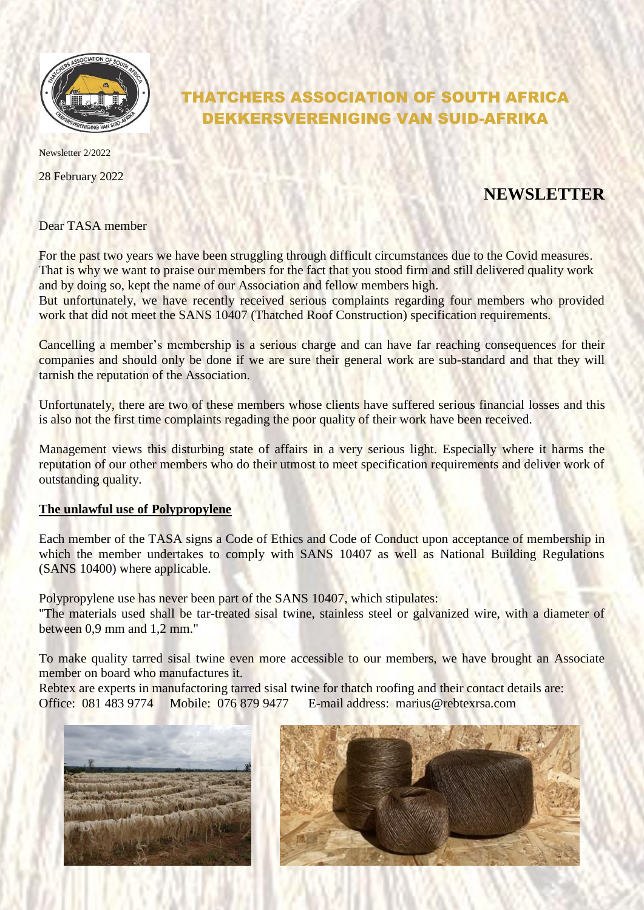

THATCHERS ASSOCIATION OF SOUTH AFRICA DEKKERSVERENIGING VAN SUID-AFRIKA

Newsletter 2/2022

28 February 2022

## **NEWSLETTER**

Dear TASA member

For the past two years we have been struggling through difficult circumstances due to the Covid measures. That is why we want to praise our members for the fact that you stood firm and still delivered quality work and by doing so, kept the name of our Association and fellow members high.

But unfortunately, we have recently received serious complaints regarding four members who provided work that did not meet the SANS 10407 (Thatched Roof Construction) specification requirements.

Cancelling a member's membership is a serious charge and can have far reaching consequences for their companies and should only be done if we are sure their general work are sub-standard and that they will tarnish the reputation of the Association.

Unfortunately, there are two of these members whose clients have suffered serious financial losses and this is also not the first time complaints regading the poor quality of their work have been received.

Management views this disturbing state of affairs in a very serious light. Especially where it harms the reputation of our other members who do their utmost to meet specification requirements and deliver work of outstanding quality.

## **The unlawful use of Polypropylene**

Each member of the TASA signs a Code of Ethics and Code of Conduct upon acceptance of membership in which the member undertakes to comply with SANS 10407 as well as National Building Regulations (SANS 10400) where applicable.

Polypropylene use has never been part of the SANS 10407, which stipulates: "The materials used shall be tar-treated sisal twine, stainless steel or galvanized wire, with a diameter of between 0,9 mm and 1,2 mm."

To make quality tarred sisal twine even more accessible to our members, we have brought an Associate member on board who manufactures it.

Rebtex are experts in manufactoring tarred sisal twine for thatch roofing and their contact details are: Office: 081 483 9774 Mobile: 076 879 9477 E-mail address: marius@rebtexrsa.com